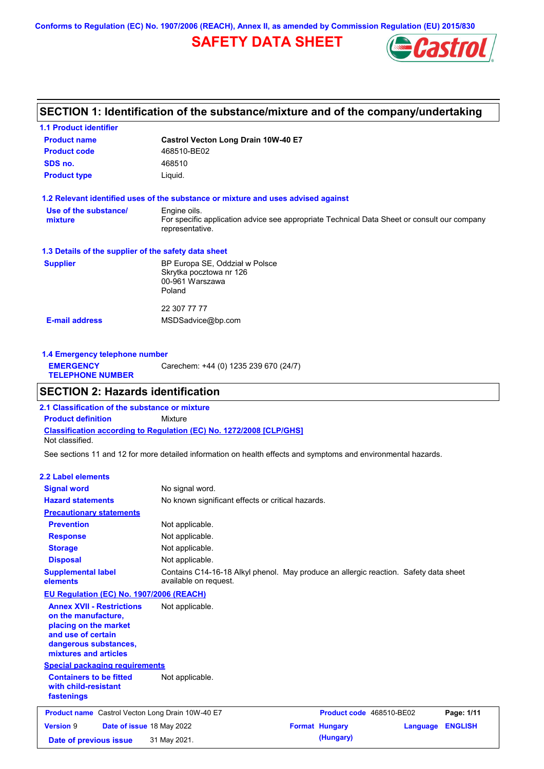**Conforms to Regulation (EC) No. 1907/2006 (REACH), Annex II, as amended by Commission Regulation (EU) 2015/830**

# **SAFETY DATA SHEET**



## **SECTION 1: Identification of the substance/mixture and of the company/undertaking**

| <b>1.1 Product identifier</b>                        |                                                                                                                |
|------------------------------------------------------|----------------------------------------------------------------------------------------------------------------|
| <b>Product name</b>                                  | Castrol Vecton Long Drain 10W-40 E7                                                                            |
| <b>Product code</b>                                  | 468510-BE02                                                                                                    |
| SDS no.                                              | 468510                                                                                                         |
| <b>Product type</b>                                  | Liquid.                                                                                                        |
|                                                      | 1.2 Relevant identified uses of the substance or mixture and uses advised against                              |
| Use of the substance/                                | Engine oils.                                                                                                   |
| mixture                                              | For specific application advice see appropriate Technical Data Sheet or consult our company<br>representative. |
| 1.3 Details of the supplier of the safety data sheet |                                                                                                                |
| <b>Supplier</b>                                      | BP Europa SE, Oddział w Polsce                                                                                 |
|                                                      | Skrytka pocztowa nr 126                                                                                        |
|                                                      | 00-961 Warszawa<br>Poland                                                                                      |
|                                                      |                                                                                                                |
|                                                      | 22 307 77 77                                                                                                   |
| <b>E-mail address</b>                                | MSDSadvice@bp.com                                                                                              |
|                                                      |                                                                                                                |
|                                                      |                                                                                                                |

| 1.4 Emergency telephone number              |                                       |  |  |  |
|---------------------------------------------|---------------------------------------|--|--|--|
| <b>EMERGENCY</b><br><b>TELEPHONE NUMBER</b> | Carechem: +44 (0) 1235 239 670 (24/7) |  |  |  |

### **SECTION 2: Hazards identification**

**Classification according to Regulation (EC) No. 1272/2008 [CLP/GHS] 2.1 Classification of the substance or mixture Product definition** Mixture Not classified.

See sections 11 and 12 for more detailed information on health effects and symptoms and environmental hazards.

#### **2.2 Label elements**

| <b>Signal word</b><br><b>Hazard statements</b>                                                                                                           | No signal word.<br>No known significant effects or critical hazards.                                          |                          |          |                |
|----------------------------------------------------------------------------------------------------------------------------------------------------------|---------------------------------------------------------------------------------------------------------------|--------------------------|----------|----------------|
| <b>Precautionary statements</b>                                                                                                                          |                                                                                                               |                          |          |                |
| <b>Prevention</b>                                                                                                                                        | Not applicable.                                                                                               |                          |          |                |
| <b>Response</b>                                                                                                                                          | Not applicable.                                                                                               |                          |          |                |
| <b>Storage</b>                                                                                                                                           | Not applicable.                                                                                               |                          |          |                |
| <b>Disposal</b>                                                                                                                                          | Not applicable.                                                                                               |                          |          |                |
| <b>Supplemental label</b><br>elements                                                                                                                    | Contains C14-16-18 Alkyl phenol. May produce an allergic reaction. Safety data sheet<br>available on request. |                          |          |                |
| EU Regulation (EC) No. 1907/2006 (REACH)                                                                                                                 |                                                                                                               |                          |          |                |
| <b>Annex XVII - Restrictions</b><br>on the manufacture,<br>placing on the market<br>and use of certain<br>dangerous substances,<br>mixtures and articles | Not applicable.                                                                                               |                          |          |                |
| <b>Special packaging requirements</b>                                                                                                                    |                                                                                                               |                          |          |                |
| <b>Containers to be fitted</b><br>with child-resistant<br>fastenings                                                                                     | Not applicable.                                                                                               |                          |          |                |
| <b>Product name</b> Castrol Vecton Long Drain 10W-40 E7                                                                                                  |                                                                                                               | Product code 468510-BE02 |          | Page: 1/11     |
| <b>Version 9</b><br>Date of issue 18 May 2022                                                                                                            |                                                                                                               | <b>Format Hungary</b>    | Language | <b>ENGLISH</b> |
| Date of previous issue                                                                                                                                   | 31 May 2021.                                                                                                  | (Hungary)                |          |                |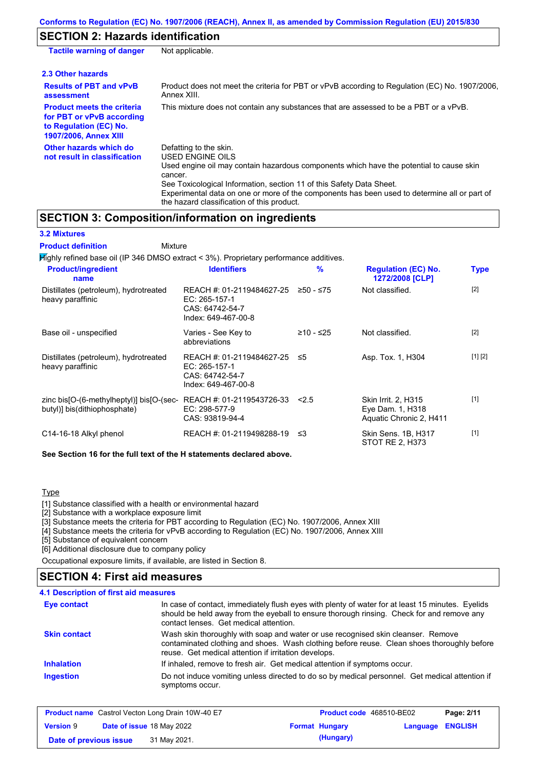## **SECTION 2: Hazards identification**

| <b>Tactile warning of danger</b>                                                                                         | Not applicable.                                                                                                                                                                                                                                                                                                                                                        |
|--------------------------------------------------------------------------------------------------------------------------|------------------------------------------------------------------------------------------------------------------------------------------------------------------------------------------------------------------------------------------------------------------------------------------------------------------------------------------------------------------------|
| 2.3 Other hazards                                                                                                        |                                                                                                                                                                                                                                                                                                                                                                        |
| <b>Results of PBT and vPvB</b><br>assessment                                                                             | Product does not meet the criteria for PBT or vPvB according to Regulation (EC) No. 1907/2006,<br>Annex XIII.                                                                                                                                                                                                                                                          |
| <b>Product meets the criteria</b><br>for PBT or vPvB according<br>to Regulation (EC) No.<br><b>1907/2006, Annex XIII</b> | This mixture does not contain any substances that are assessed to be a PBT or a vPvB.                                                                                                                                                                                                                                                                                  |
| Other hazards which do<br>not result in classification                                                                   | Defatting to the skin.<br>USED ENGINE OILS<br>Used engine oil may contain hazardous components which have the potential to cause skin<br>cancer.<br>See Toxicological Information, section 11 of this Safety Data Sheet.<br>Experimental data on one or more of the components has been used to determine all or part of<br>the hazard classification of this product. |

### **SECTION 3: Composition/information on ingredients**

**3.2 Mixtures**

**Product definition**

| <b>Product definition</b><br>Mixture                                                   |                                                                                        |             |                                                                    |             |
|----------------------------------------------------------------------------------------|----------------------------------------------------------------------------------------|-------------|--------------------------------------------------------------------|-------------|
| Mighly refined base oil (IP 346 DMSO extract < 3%). Proprietary performance additives. |                                                                                        |             |                                                                    |             |
| <b>Product/ingredient</b><br>name                                                      | <b>Identifiers</b>                                                                     | %           | <b>Regulation (EC) No.</b><br>1272/2008 [CLP]                      | <b>Type</b> |
| Distillates (petroleum), hydrotreated<br>heavy paraffinic                              | REACH #: 01-2119484627-25<br>$EC: 265-157-1$<br>CAS: 64742-54-7<br>Index: 649-467-00-8 | $≥50 - ≤75$ | Not classified.                                                    | $[2]$       |
| Base oil - unspecified                                                                 | Varies - See Key to<br>abbreviations                                                   | ≥10 - ≤25   | Not classified.                                                    | $[2]$       |
| Distillates (petroleum), hydrotreated<br>heavy paraffinic                              | REACH #: 01-2119484627-25<br>EC: 265-157-1<br>CAS: 64742-54-7<br>Index: 649-467-00-8   | ≤5          | Asp. Tox. 1, H304                                                  | [1] [2]     |
| zinc bis[O-(6-methylheptyl)] bis[O-(sec-<br>butyl)] bis(dithiophosphate)               | REACH #: 01-2119543726-33<br>EC: 298-577-9<br>CAS: 93819-94-4                          | 2.5         | Skin Irrit. 2, H315<br>Eye Dam. 1, H318<br>Aquatic Chronic 2, H411 | $[1]$       |
| C14-16-18 Alkyl phenol                                                                 | REACH #: 01-2119498288-19                                                              | ≤3          | Skin Sens. 1B, H317<br>STOT RE 2, H373                             | $[1]$       |

**See Section 16 for the full text of the H statements declared above.**

#### **Type**

[1] Substance classified with a health or environmental hazard

[2] Substance with a workplace exposure limit

[3] Substance meets the criteria for PBT according to Regulation (EC) No. 1907/2006, Annex XIII

[4] Substance meets the criteria for vPvB according to Regulation (EC) No. 1907/2006, Annex XIII

[5] Substance of equivalent concern

[6] Additional disclosure due to company policy

Occupational exposure limits, if available, are listed in Section 8.

### **4.1 Description of first aid measures SECTION 4: First aid measures**

| In case of contact, immediately flush eyes with plenty of water for at least 15 minutes. Eyelids                                                                                                                                       |
|----------------------------------------------------------------------------------------------------------------------------------------------------------------------------------------------------------------------------------------|
| should be held away from the eyeball to ensure thorough rinsing. Check for and remove any<br>contact lenses. Get medical attention.                                                                                                    |
|                                                                                                                                                                                                                                        |
| Wash skin thoroughly with soap and water or use recognised skin cleanser. Remove<br>contaminated clothing and shoes. Wash clothing before reuse. Clean shoes thoroughly before<br>reuse. Get medical attention if irritation develops. |
| If inhaled, remove to fresh air. Get medical attention if symptoms occur.                                                                                                                                                              |
| Do not induce vomiting unless directed to do so by medical personnel. Get medical attention if<br>symptoms occur.                                                                                                                      |
|                                                                                                                                                                                                                                        |

| <b>Product name</b> Castrol Vecton Long Drain 10W-40 E7 |                                  | <b>Product code</b> 468510-BE02 |                         | Page: 2/11 |
|---------------------------------------------------------|----------------------------------|---------------------------------|-------------------------|------------|
| <b>Version 9</b>                                        | <b>Date of issue 18 May 2022</b> | <b>Format Hungary</b>           | <b>Language ENGLISH</b> |            |
| Date of previous issue                                  | 31 May 2021.                     | (Hungary)                       |                         |            |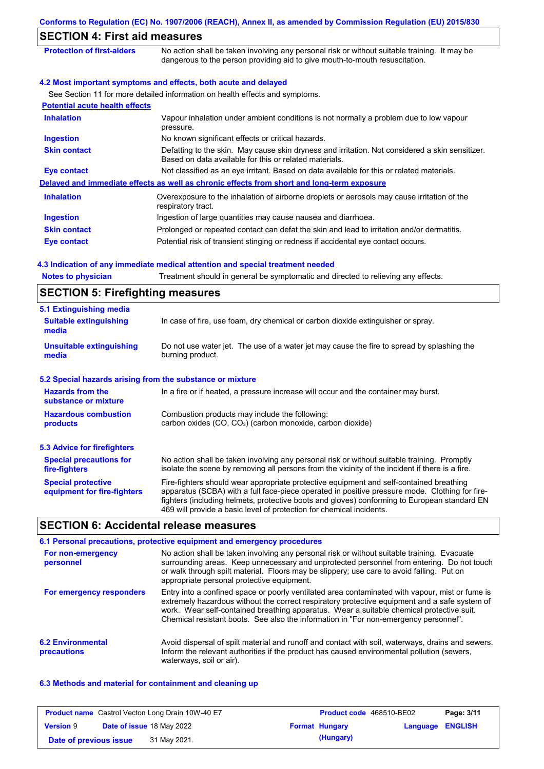|                                       | <b>SECTION 4: First aid measures</b>                                                                                                                                        |  |  |  |  |
|---------------------------------------|-----------------------------------------------------------------------------------------------------------------------------------------------------------------------------|--|--|--|--|
| <b>Protection of first-aiders</b>     | No action shall be taken involving any personal risk or without suitable training. It may be<br>dangerous to the person providing aid to give mouth-to-mouth resuscitation. |  |  |  |  |
|                                       | 4.2 Most important symptoms and effects, both acute and delayed                                                                                                             |  |  |  |  |
|                                       | See Section 11 for more detailed information on health effects and symptoms.                                                                                                |  |  |  |  |
| <b>Potential acute health effects</b> |                                                                                                                                                                             |  |  |  |  |
| <b>Inhalation</b>                     | Vapour inhalation under ambient conditions is not normally a problem due to low vapour<br>pressure.                                                                         |  |  |  |  |
| <b>Ingestion</b>                      | No known significant effects or critical hazards.                                                                                                                           |  |  |  |  |
| <b>Skin contact</b>                   | Defatting to the skin. May cause skin dryness and irritation. Not considered a skin sensitizer.<br>Based on data available for this or related materials.                   |  |  |  |  |
| <b>Eye contact</b>                    | Not classified as an eye irritant. Based on data available for this or related materials.                                                                                   |  |  |  |  |
|                                       | Delayed and immediate effects as well as chronic effects from short and long-term exposure                                                                                  |  |  |  |  |
| <b>Inhalation</b>                     | Overexposure to the inhalation of airborne droplets or aerosols may cause irritation of the<br>respiratory tract.                                                           |  |  |  |  |
| <b>Ingestion</b>                      | Ingestion of large quantities may cause nausea and diarrhoea.                                                                                                               |  |  |  |  |
| <b>Skin contact</b>                   | Prolonged or repeated contact can defat the skin and lead to irritation and/or dermatitis.                                                                                  |  |  |  |  |
| Eye contact                           | Potential risk of transient stinging or redness if accidental eye contact occurs.                                                                                           |  |  |  |  |

#### **4.3 Indication of any immediate medical attention and special treatment needed**

**Notes to physician** Treatment should in general be symptomatic and directed to relieving any effects.

## **SECTION 5: Firefighting measures**

| 5.1 Extinguishing media                                                                                                                                                                                                                                                                                                                                                                                                       |                                                                                                                |  |  |  |
|-------------------------------------------------------------------------------------------------------------------------------------------------------------------------------------------------------------------------------------------------------------------------------------------------------------------------------------------------------------------------------------------------------------------------------|----------------------------------------------------------------------------------------------------------------|--|--|--|
| <b>Suitable extinguishing</b><br>media                                                                                                                                                                                                                                                                                                                                                                                        | In case of fire, use foam, dry chemical or carbon dioxide extinguisher or spray.                               |  |  |  |
| <b>Unsuitable extinguishing</b><br>media                                                                                                                                                                                                                                                                                                                                                                                      | Do not use water jet. The use of a water jet may cause the fire to spread by splashing the<br>burning product. |  |  |  |
| 5.2 Special hazards arising from the substance or mixture                                                                                                                                                                                                                                                                                                                                                                     |                                                                                                                |  |  |  |
| <b>Hazards from the</b><br>In a fire or if heated, a pressure increase will occur and the container may burst.<br>substance or mixture                                                                                                                                                                                                                                                                                        |                                                                                                                |  |  |  |
| <b>Hazardous combustion</b><br>Combustion products may include the following:<br>carbon oxides $(CO, CO2)$ (carbon monoxide, carbon dioxide)<br><b>products</b>                                                                                                                                                                                                                                                               |                                                                                                                |  |  |  |
| <b>5.3 Advice for firefighters</b>                                                                                                                                                                                                                                                                                                                                                                                            |                                                                                                                |  |  |  |
| No action shall be taken involving any personal risk or without suitable training. Promptly<br><b>Special precautions for</b><br>isolate the scene by removing all persons from the vicinity of the incident if there is a fire.<br>fire-fighters                                                                                                                                                                             |                                                                                                                |  |  |  |
| Fire-fighters should wear appropriate protective equipment and self-contained breathing<br><b>Special protective</b><br>apparatus (SCBA) with a full face-piece operated in positive pressure mode. Clothing for fire-<br>equipment for fire-fighters<br>fighters (including helmets, protective boots and gloves) conforming to European standard EN<br>469 will provide a basic level of protection for chemical incidents. |                                                                                                                |  |  |  |

# **SECTION 6: Accidental release measures**

|                                         | 6.1 Personal precautions, protective equipment and emergency procedures                                                                                                                                                                                                                                                                                                              |
|-----------------------------------------|--------------------------------------------------------------------------------------------------------------------------------------------------------------------------------------------------------------------------------------------------------------------------------------------------------------------------------------------------------------------------------------|
| For non-emergency<br>personnel          | No action shall be taken involving any personal risk or without suitable training. Evacuate<br>surrounding areas. Keep unnecessary and unprotected personnel from entering. Do not touch<br>or walk through spilt material. Floors may be slippery; use care to avoid falling. Put on<br>appropriate personal protective equipment.                                                  |
| For emergency responders                | Entry into a confined space or poorly ventilated area contaminated with vapour, mist or fume is<br>extremely hazardous without the correct respiratory protective equipment and a safe system of<br>work. Wear self-contained breathing apparatus. Wear a suitable chemical protective suit.<br>Chemical resistant boots. See also the information in "For non-emergency personnel". |
| <b>6.2 Environmental</b><br>precautions | Avoid dispersal of spilt material and runoff and contact with soil, waterways, drains and sewers.<br>Inform the relevant authorities if the product has caused environmental pollution (sewers,<br>waterways, soil or air).                                                                                                                                                          |

#### **6.3 Methods and material for containment and cleaning up**

| <b>Product name</b> Castrol Vecton Long Drain 10W-40 E7 |  | Product code 468510-BE02         |                       | Page: 3/11              |  |
|---------------------------------------------------------|--|----------------------------------|-----------------------|-------------------------|--|
| <b>Version 9</b>                                        |  | <b>Date of issue 18 May 2022</b> | <b>Format Hungary</b> | <b>Language ENGLISH</b> |  |
| Date of previous issue                                  |  | 31 May 2021.                     | (Hungary)             |                         |  |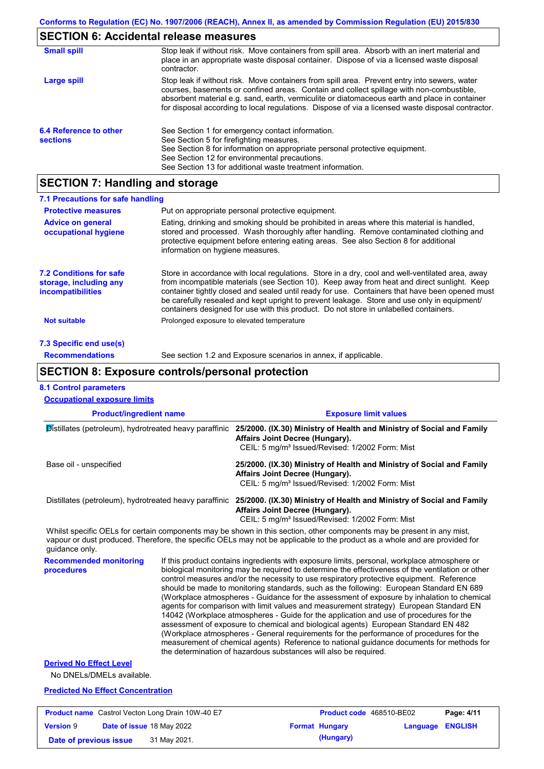# **SECTION 6: Accidental release measures**

| <b>Small spill</b>                        | Stop leak if without risk. Move containers from spill area. Absorb with an inert material and<br>place in an appropriate waste disposal container. Dispose of via a licensed waste disposal<br>contractor.                                                                                                                                                                                     |
|-------------------------------------------|------------------------------------------------------------------------------------------------------------------------------------------------------------------------------------------------------------------------------------------------------------------------------------------------------------------------------------------------------------------------------------------------|
| Large spill                               | Stop leak if without risk. Move containers from spill area. Prevent entry into sewers, water<br>courses, basements or confined areas. Contain and collect spillage with non-combustible,<br>absorbent material e.g. sand, earth, vermiculite or diatomaceous earth and place in container<br>for disposal according to local regulations. Dispose of via a licensed waste disposal contractor. |
| 6.4 Reference to other<br><b>sections</b> | See Section 1 for emergency contact information.<br>See Section 5 for firefighting measures.<br>See Section 8 for information on appropriate personal protective equipment.<br>See Section 12 for environmental precautions.<br>See Section 13 for additional waste treatment information.                                                                                                     |

# **SECTION 7: Handling and storage**

| 7.1 Precautions for safe handling                                                    |                                                                                                                                                                                                                                                                                                                                                                                                                                                                                          |
|--------------------------------------------------------------------------------------|------------------------------------------------------------------------------------------------------------------------------------------------------------------------------------------------------------------------------------------------------------------------------------------------------------------------------------------------------------------------------------------------------------------------------------------------------------------------------------------|
| <b>Protective measures</b>                                                           | Put on appropriate personal protective equipment.                                                                                                                                                                                                                                                                                                                                                                                                                                        |
| <b>Advice on general</b><br>occupational hygiene                                     | Eating, drinking and smoking should be prohibited in areas where this material is handled,<br>stored and processed. Wash thoroughly after handling. Remove contaminated clothing and<br>protective equipment before entering eating areas. See also Section 8 for additional<br>information on hygiene measures.                                                                                                                                                                         |
| <b>7.2 Conditions for safe</b><br>storage, including any<br><i>incompatibilities</i> | Store in accordance with local requlations. Store in a dry, cool and well-ventilated area, away<br>from incompatible materials (see Section 10). Keep away from heat and direct sunlight. Keep<br>container tightly closed and sealed until ready for use. Containers that have been opened must<br>be carefully resealed and kept upright to prevent leakage. Store and use only in equipment/<br>containers designed for use with this product. Do not store in unlabelled containers. |
| <b>Not suitable</b>                                                                  | Prolonged exposure to elevated temperature                                                                                                                                                                                                                                                                                                                                                                                                                                               |
| 7.3 Specific end use(s)                                                              |                                                                                                                                                                                                                                                                                                                                                                                                                                                                                          |
| <b>Recommendations</b>                                                               | See section 1.2 and Exposure scenarios in annex, if applicable.                                                                                                                                                                                                                                                                                                                                                                                                                          |

### **SECTION 8: Exposure controls/personal protection**

**Date of previous issue (Hungary)** 31 May 2021.

### **8.1 Control parameters**

| <b>Occupational exposure limits</b>                     |  |                                                                                                                                                                                                                                                                                                                                                                                                                                                                                                                                                                                                                                                                                                                                                                                                                                                                                                                                                                                                                            |                  |            |  |  |
|---------------------------------------------------------|--|----------------------------------------------------------------------------------------------------------------------------------------------------------------------------------------------------------------------------------------------------------------------------------------------------------------------------------------------------------------------------------------------------------------------------------------------------------------------------------------------------------------------------------------------------------------------------------------------------------------------------------------------------------------------------------------------------------------------------------------------------------------------------------------------------------------------------------------------------------------------------------------------------------------------------------------------------------------------------------------------------------------------------|------------------|------------|--|--|
| <b>Product/ingredient name</b>                          |  | <b>Exposure limit values</b><br>Distillates (petroleum), hydrotreated heavy paraffinic 25/2000. (IX.30) Ministry of Health and Ministry of Social and Family<br>Affairs Joint Decree (Hungary).<br>CEIL: 5 mg/m <sup>3</sup> Issued/Revised: 1/2002 Form: Mist                                                                                                                                                                                                                                                                                                                                                                                                                                                                                                                                                                                                                                                                                                                                                             |                  |            |  |  |
|                                                         |  |                                                                                                                                                                                                                                                                                                                                                                                                                                                                                                                                                                                                                                                                                                                                                                                                                                                                                                                                                                                                                            |                  |            |  |  |
|                                                         |  | Distillates (petroleum), hydrotreated heavy paraffinic 25/2000. (IX.30) Ministry of Health and Ministry of Social and Family<br>Affairs Joint Decree (Hungary).<br>CEIL: 5 mg/m <sup>3</sup> Issued/Revised: 1/2002 Form: Mist                                                                                                                                                                                                                                                                                                                                                                                                                                                                                                                                                                                                                                                                                                                                                                                             |                  |            |  |  |
| guidance only.                                          |  | Whilst specific OELs for certain components may be shown in this section, other components may be present in any mist,<br>vapour or dust produced. Therefore, the specific OELs may not be applicable to the product as a whole and are provided for                                                                                                                                                                                                                                                                                                                                                                                                                                                                                                                                                                                                                                                                                                                                                                       |                  |            |  |  |
| <b>Recommended monitoring</b><br>procedures             |  | If this product contains ingredients with exposure limits, personal, workplace atmosphere or<br>biological monitoring may be required to determine the effectiveness of the ventilation or other<br>control measures and/or the necessity to use respiratory protective equipment. Reference<br>should be made to monitoring standards, such as the following: European Standard EN 689<br>(Workplace atmospheres - Guidance for the assessment of exposure by inhalation to chemical<br>agents for comparison with limit values and measurement strategy) European Standard EN<br>14042 (Workplace atmospheres - Guide for the application and use of procedures for the<br>assessment of exposure to chemical and biological agents) European Standard EN 482<br>(Workplace atmospheres - General requirements for the performance of procedures for the<br>measurement of chemical agents) Reference to national guidance documents for methods for<br>the determination of hazardous substances will also be required. |                  |            |  |  |
| <b>Derived No Effect Level</b>                          |  |                                                                                                                                                                                                                                                                                                                                                                                                                                                                                                                                                                                                                                                                                                                                                                                                                                                                                                                                                                                                                            |                  |            |  |  |
| No DNELs/DMELs available.                               |  |                                                                                                                                                                                                                                                                                                                                                                                                                                                                                                                                                                                                                                                                                                                                                                                                                                                                                                                                                                                                                            |                  |            |  |  |
| <b>Predicted No Effect Concentration</b>                |  |                                                                                                                                                                                                                                                                                                                                                                                                                                                                                                                                                                                                                                                                                                                                                                                                                                                                                                                                                                                                                            |                  |            |  |  |
| <b>Product name</b> Castrol Vecton Long Drain 10W-40 E7 |  | Product code 468510-BE02                                                                                                                                                                                                                                                                                                                                                                                                                                                                                                                                                                                                                                                                                                                                                                                                                                                                                                                                                                                                   |                  | Page: 4/11 |  |  |
| <b>Version 9</b><br>Date of issue 18 May 2022           |  | <b>Format Hungary</b>                                                                                                                                                                                                                                                                                                                                                                                                                                                                                                                                                                                                                                                                                                                                                                                                                                                                                                                                                                                                      | Language ENGLISH |            |  |  |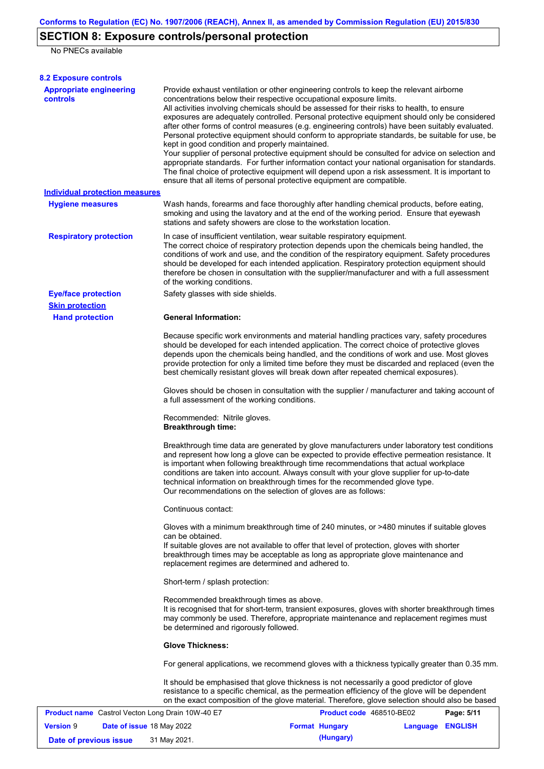# **SECTION 8: Exposure controls/personal protection**

No PNECs available

| <b>8.2 Exposure controls</b>                      |                                                                                    |                                                                                                                                                                                                                                                                                                                                                                                                                                                                         |                                                                                                                                                                                                                                                                                                                                                                                                                                                                                                         |
|---------------------------------------------------|------------------------------------------------------------------------------------|-------------------------------------------------------------------------------------------------------------------------------------------------------------------------------------------------------------------------------------------------------------------------------------------------------------------------------------------------------------------------------------------------------------------------------------------------------------------------|---------------------------------------------------------------------------------------------------------------------------------------------------------------------------------------------------------------------------------------------------------------------------------------------------------------------------------------------------------------------------------------------------------------------------------------------------------------------------------------------------------|
| <b>Appropriate engineering</b><br><b>controls</b> | kept in good condition and properly maintained.                                    | Provide exhaust ventilation or other engineering controls to keep the relevant airborne<br>concentrations below their respective occupational exposure limits.<br>All activities involving chemicals should be assessed for their risks to health, to ensure<br>The final choice of protective equipment will depend upon a risk assessment. It is important to<br>ensure that all items of personal protective equipment are compatible.                               | exposures are adequately controlled. Personal protective equipment should only be considered<br>after other forms of control measures (e.g. engineering controls) have been suitably evaluated.<br>Personal protective equipment should conform to appropriate standards, be suitable for use, be<br>Your supplier of personal protective equipment should be consulted for advice on selection and<br>appropriate standards. For further information contact your national organisation for standards. |
| <b>Individual protection measures</b>             |                                                                                    |                                                                                                                                                                                                                                                                                                                                                                                                                                                                         |                                                                                                                                                                                                                                                                                                                                                                                                                                                                                                         |
| <b>Hygiene measures</b>                           |                                                                                    | Wash hands, forearms and face thoroughly after handling chemical products, before eating,<br>smoking and using the lavatory and at the end of the working period. Ensure that eyewash<br>stations and safety showers are close to the workstation location.                                                                                                                                                                                                             |                                                                                                                                                                                                                                                                                                                                                                                                                                                                                                         |
| <b>Respiratory protection</b>                     | of the working conditions.                                                         | In case of insufficient ventilation, wear suitable respiratory equipment.<br>The correct choice of respiratory protection depends upon the chemicals being handled, the<br>conditions of work and use, and the condition of the respiratory equipment. Safety procedures<br>should be developed for each intended application. Respiratory protection equipment should<br>therefore be chosen in consultation with the supplier/manufacturer and with a full assessment |                                                                                                                                                                                                                                                                                                                                                                                                                                                                                                         |
| <b>Eye/face protection</b>                        | Safety glasses with side shields.                                                  |                                                                                                                                                                                                                                                                                                                                                                                                                                                                         |                                                                                                                                                                                                                                                                                                                                                                                                                                                                                                         |
| <b>Skin protection</b>                            |                                                                                    |                                                                                                                                                                                                                                                                                                                                                                                                                                                                         |                                                                                                                                                                                                                                                                                                                                                                                                                                                                                                         |
| <b>Hand protection</b>                            | <b>General Information:</b>                                                        | Because specific work environments and material handling practices vary, safety procedures<br>should be developed for each intended application. The correct choice of protective gloves<br>depends upon the chemicals being handled, and the conditions of work and use. Most gloves<br>best chemically resistant gloves will break down after repeated chemical exposures).                                                                                           | provide protection for only a limited time before they must be discarded and replaced (even the                                                                                                                                                                                                                                                                                                                                                                                                         |
|                                                   | a full assessment of the working conditions.                                       |                                                                                                                                                                                                                                                                                                                                                                                                                                                                         | Gloves should be chosen in consultation with the supplier / manufacturer and taking account of                                                                                                                                                                                                                                                                                                                                                                                                          |
|                                                   | Recommended: Nitrile gloves.<br><b>Breakthrough time:</b>                          |                                                                                                                                                                                                                                                                                                                                                                                                                                                                         |                                                                                                                                                                                                                                                                                                                                                                                                                                                                                                         |
|                                                   |                                                                                    | and represent how long a glove can be expected to provide effective permeation resistance. It<br>is important when following breakthrough time recommendations that actual workplace<br>conditions are taken into account. Always consult with your glove supplier for up-to-date<br>technical information on breakthrough times for the recommended glove type.<br>Our recommendations on the selection of gloves are as follows:                                      | Breakthrough time data are generated by glove manufacturers under laboratory test conditions                                                                                                                                                                                                                                                                                                                                                                                                            |
|                                                   | Continuous contact:                                                                |                                                                                                                                                                                                                                                                                                                                                                                                                                                                         |                                                                                                                                                                                                                                                                                                                                                                                                                                                                                                         |
|                                                   | can be obtained.<br>replacement regimes are determined and adhered to.             | Gloves with a minimum breakthrough time of 240 minutes, or >480 minutes if suitable gloves<br>If suitable gloves are not available to offer that level of protection, gloves with shorter<br>breakthrough times may be acceptable as long as appropriate glove maintenance and                                                                                                                                                                                          |                                                                                                                                                                                                                                                                                                                                                                                                                                                                                                         |
|                                                   | Short-term / splash protection:                                                    |                                                                                                                                                                                                                                                                                                                                                                                                                                                                         |                                                                                                                                                                                                                                                                                                                                                                                                                                                                                                         |
|                                                   | Recommended breakthrough times as above.<br>be determined and rigorously followed. | may commonly be used. Therefore, appropriate maintenance and replacement regimes must                                                                                                                                                                                                                                                                                                                                                                                   | It is recognised that for short-term, transient exposures, gloves with shorter breakthrough times                                                                                                                                                                                                                                                                                                                                                                                                       |
|                                                   | <b>Glove Thickness:</b>                                                            |                                                                                                                                                                                                                                                                                                                                                                                                                                                                         |                                                                                                                                                                                                                                                                                                                                                                                                                                                                                                         |
|                                                   |                                                                                    |                                                                                                                                                                                                                                                                                                                                                                                                                                                                         | For general applications, we recommend gloves with a thickness typically greater than 0.35 mm.                                                                                                                                                                                                                                                                                                                                                                                                          |
|                                                   |                                                                                    | It should be emphasised that glove thickness is not necessarily a good predictor of glove<br>resistance to a specific chemical, as the permeation efficiency of the glove will be dependent                                                                                                                                                                                                                                                                             | on the exact composition of the glove material. Therefore, glove selection should also be based                                                                                                                                                                                                                                                                                                                                                                                                         |
| Product name Castrol Vecton Long Drain 10W-40 E7  |                                                                                    | Product code 468510-BE02                                                                                                                                                                                                                                                                                                                                                                                                                                                | Page: 5/11                                                                                                                                                                                                                                                                                                                                                                                                                                                                                              |
| <b>Version 9</b>                                  | Date of issue 18 May 2022                                                          | <b>Format Hungary</b>                                                                                                                                                                                                                                                                                                                                                                                                                                                   | Language ENGLISH                                                                                                                                                                                                                                                                                                                                                                                                                                                                                        |

**Date of previous issue** 31 May 2021. **(Hungary)** (Hungary)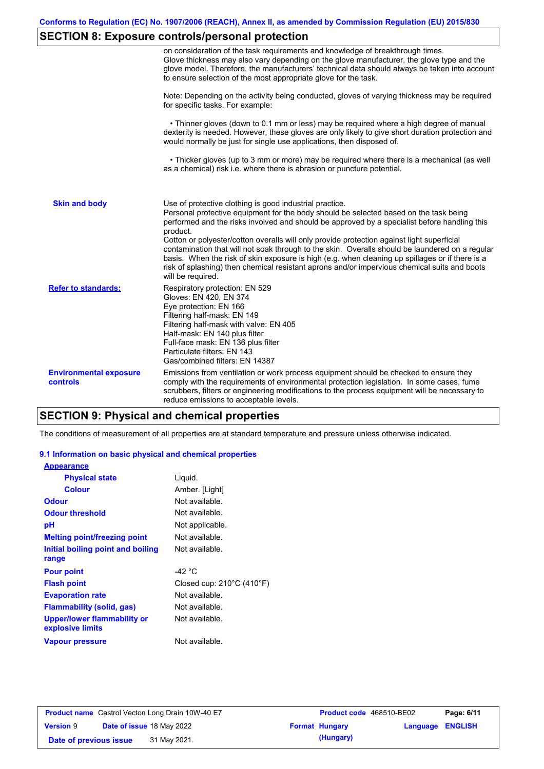# **SECTION 8: Exposure controls/personal protection**

|                                           | on consideration of the task requirements and knowledge of breakthrough times.<br>Glove thickness may also vary depending on the glove manufacturer, the glove type and the<br>glove model. Therefore, the manufacturers' technical data should always be taken into account<br>to ensure selection of the most appropriate glove for the task.                                                                                                                                                                                                                                                                                                                                       |
|-------------------------------------------|---------------------------------------------------------------------------------------------------------------------------------------------------------------------------------------------------------------------------------------------------------------------------------------------------------------------------------------------------------------------------------------------------------------------------------------------------------------------------------------------------------------------------------------------------------------------------------------------------------------------------------------------------------------------------------------|
|                                           | Note: Depending on the activity being conducted, gloves of varying thickness may be required<br>for specific tasks. For example:                                                                                                                                                                                                                                                                                                                                                                                                                                                                                                                                                      |
|                                           | • Thinner gloves (down to 0.1 mm or less) may be required where a high degree of manual<br>dexterity is needed. However, these gloves are only likely to give short duration protection and<br>would normally be just for single use applications, then disposed of.                                                                                                                                                                                                                                                                                                                                                                                                                  |
|                                           | • Thicker gloves (up to 3 mm or more) may be required where there is a mechanical (as well<br>as a chemical) risk i.e. where there is abrasion or puncture potential.                                                                                                                                                                                                                                                                                                                                                                                                                                                                                                                 |
| <b>Skin and body</b>                      | Use of protective clothing is good industrial practice.<br>Personal protective equipment for the body should be selected based on the task being<br>performed and the risks involved and should be approved by a specialist before handling this<br>product.<br>Cotton or polyester/cotton overalls will only provide protection against light superficial<br>contamination that will not soak through to the skin. Overalls should be laundered on a regular<br>basis. When the risk of skin exposure is high (e.g. when cleaning up spillages or if there is a<br>risk of splashing) then chemical resistant aprons and/or impervious chemical suits and boots<br>will be required. |
| <b>Refer to standards:</b>                | Respiratory protection: EN 529<br>Gloves: EN 420, EN 374<br>Eye protection: EN 166<br>Filtering half-mask: EN 149<br>Filtering half-mask with valve: EN 405<br>Half-mask: EN 140 plus filter<br>Full-face mask: EN 136 plus filter<br>Particulate filters: EN 143<br>Gas/combined filters: EN 14387                                                                                                                                                                                                                                                                                                                                                                                   |
| <b>Environmental exposure</b><br>controls | Emissions from ventilation or work process equipment should be checked to ensure they<br>comply with the requirements of environmental protection legislation. In some cases, fume<br>scrubbers, filters or engineering modifications to the process equipment will be necessary to<br>reduce emissions to acceptable levels.                                                                                                                                                                                                                                                                                                                                                         |

# **SECTION 9: Physical and chemical properties**

The conditions of measurement of all properties are at standard temperature and pressure unless otherwise indicated.

#### **9.1 Information on basic physical and chemical properties**

| <b>Appearance</b>                               |                                     |
|-------------------------------------------------|-------------------------------------|
| <b>Physical state</b>                           | Liquid.                             |
| Colour                                          | Amber. [Light]                      |
| Odour                                           | Not available.                      |
| <b>Odour threshold</b>                          | Not available.                      |
| рH                                              | Not applicable.                     |
| <b>Melting point/freezing point</b>             | Not available.                      |
| Initial boiling point and boiling               | Not available.                      |
| range                                           |                                     |
| <b>Pour point</b>                               | -42 °C                              |
| <b>Flash point</b>                              | Closed cup: $210^{\circ}$ C (410°F) |
| <b>Evaporation rate</b>                         | Not available.                      |
| <b>Flammability (solid, gas)</b>                | Not available.                      |
| Upper/lower flammability or<br>explosive limits | Not available.                      |
| <b>Vapour pressure</b>                          | Not available.                      |

|                        | <b>Product name</b> Castrol Vecton Long Drain 10W-40 E7 | <b>Product code</b> 468510-BE02 |                         | Page: 6/11 |
|------------------------|---------------------------------------------------------|---------------------------------|-------------------------|------------|
| <b>Version 9</b>       | <b>Date of issue 18 May 2022</b>                        | <b>Format Hungary</b>           | <b>Language ENGLISH</b> |            |
| Date of previous issue | 31 May 2021.                                            | (Hungary)                       |                         |            |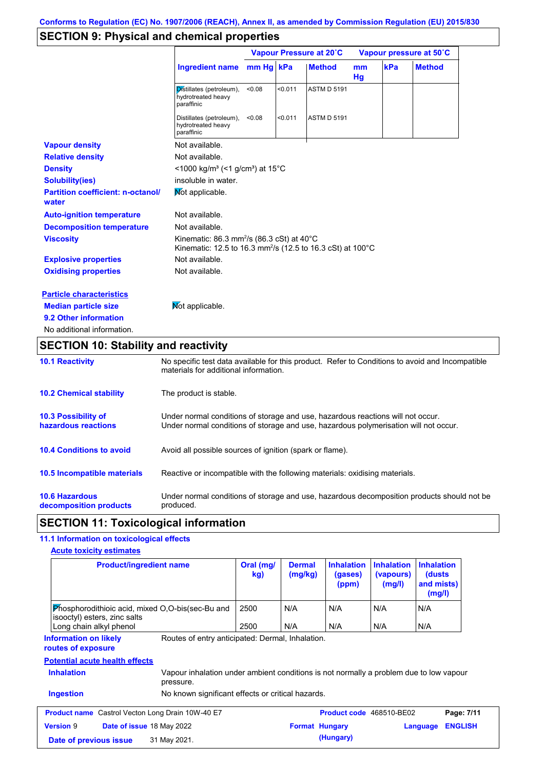# **SECTION 9: Physical and chemical properties**

|                                                   | Vapour Pressure at 20°C                                                                                                                   |           |         |                    | Vapour pressure at 50°C |     |               |
|---------------------------------------------------|-------------------------------------------------------------------------------------------------------------------------------------------|-----------|---------|--------------------|-------------------------|-----|---------------|
|                                                   | <b>Ingredient name</b>                                                                                                                    | mm Hq kPa |         | <b>Method</b>      | mm<br>Hg                | kPa | <b>Method</b> |
|                                                   | Distillates (petroleum),<br>hydrotreated heavy<br>paraffinic                                                                              | < 0.08    | < 0.011 | <b>ASTM D 5191</b> |                         |     |               |
|                                                   | Distillates (petroleum),<br>hydrotreated heavy<br>paraffinic                                                                              | < 0.08    | < 0.011 | <b>ASTM D 5191</b> |                         |     |               |
| <b>Vapour density</b>                             | Not available.                                                                                                                            |           |         |                    |                         |     |               |
| <b>Relative density</b>                           | Not available.                                                                                                                            |           |         |                    |                         |     |               |
| <b>Density</b>                                    | $\leq$ 1000 kg/m <sup>3</sup> (<1 g/cm <sup>3</sup> ) at 15 <sup>°</sup> C                                                                |           |         |                    |                         |     |               |
| <b>Solubility(ies)</b>                            | insoluble in water.                                                                                                                       |           |         |                    |                         |     |               |
| <b>Partition coefficient: n-octanol/</b><br>water | Mot applicable.                                                                                                                           |           |         |                    |                         |     |               |
| <b>Auto-ignition temperature</b>                  | Not available.                                                                                                                            |           |         |                    |                         |     |               |
| <b>Decomposition temperature</b>                  | Not available.                                                                                                                            |           |         |                    |                         |     |               |
| <b>Viscosity</b>                                  | Kinematic: 86.3 mm <sup>2</sup> /s (86.3 cSt) at $40^{\circ}$ C<br>Kinematic: 12.5 to 16.3 mm <sup>2</sup> /s (12.5 to 16.3 cSt) at 100°C |           |         |                    |                         |     |               |
| <b>Explosive properties</b>                       | Not available.                                                                                                                            |           |         |                    |                         |     |               |
| <b>Oxidising properties</b>                       | Not available.                                                                                                                            |           |         |                    |                         |     |               |
| <b>Particle characteristics</b>                   |                                                                                                                                           |           |         |                    |                         |     |               |
| <b>Median particle size</b>                       | Not applicable.                                                                                                                           |           |         |                    |                         |     |               |
| 9.2 Other information                             |                                                                                                                                           |           |         |                    |                         |     |               |
| No additional information.                        |                                                                                                                                           |           |         |                    |                         |     |               |

# **SECTION 10: Stability and reactivity**

| <b>10.1 Reactivity</b>                            | No specific test data available for this product. Refer to Conditions to avoid and Incompatible<br>materials for additional information.                                |
|---------------------------------------------------|-------------------------------------------------------------------------------------------------------------------------------------------------------------------------|
| <b>10.2 Chemical stability</b>                    | The product is stable.                                                                                                                                                  |
| <b>10.3 Possibility of</b><br>hazardous reactions | Under normal conditions of storage and use, hazardous reactions will not occur.<br>Under normal conditions of storage and use, hazardous polymerisation will not occur. |
| <b>10.4 Conditions to avoid</b>                   | Avoid all possible sources of ignition (spark or flame).                                                                                                                |
| 10.5 Incompatible materials                       | Reactive or incompatible with the following materials: oxidising materials.                                                                                             |
| <b>10.6 Hazardous</b><br>decomposition products   | Under normal conditions of storage and use, hazardous decomposition products should not be<br>produced.                                                                 |

## **SECTION 11: Toxicological information**

### **11.1 Information on toxicological effects**

| <b>Acute toxicity estimates</b> |  |  |
|---------------------------------|--|--|
|---------------------------------|--|--|

| <b>Product/ingredient name</b>                                                                                                                                                          | Oral (mg/<br>kg) | <b>Dermal</b><br>(mg/kg) | <b>Inhalation</b><br>(gases)<br>(ppm) | <b>Inhalation</b><br>(vapours)<br>(mg/l) | <b>Inhalation</b><br>(dusts)<br>and mists)<br>(mg/l) |
|-----------------------------------------------------------------------------------------------------------------------------------------------------------------------------------------|------------------|--------------------------|---------------------------------------|------------------------------------------|------------------------------------------------------|
| Phosphorodithioic acid, mixed O,O-bis(sec-Bu and<br>isooctyl) esters, zinc salts                                                                                                        | 2500             | N/A                      | N/A                                   | N/A                                      | N/A                                                  |
| Long chain alkyl phenol                                                                                                                                                                 | 2500             | N/A                      | N/A                                   | N/A                                      | N/A                                                  |
| routes of exposure<br><b>Potential acute health effects</b><br><b>Inhalation</b><br>Vapour inhalation under ambient conditions is not normally a problem due to low vapour<br>pressure. |                  |                          |                                       |                                          |                                                      |
|                                                                                                                                                                                         |                  |                          |                                       |                                          |                                                      |
| No known significant effects or critical hazards.<br><b>Ingestion</b>                                                                                                                   |                  |                          |                                       |                                          |                                                      |
| <b>Product name</b> Castrol Vecton Long Drain 10W-40 E7                                                                                                                                 |                  |                          | Product code 468510-BE02              |                                          | Page: 7/11                                           |
|                                                                                                                                                                                         |                  |                          |                                       |                                          |                                                      |
| <b>Version 9</b><br><b>Date of issue 18 May 2022</b>                                                                                                                                    |                  |                          | <b>Format Hungary</b>                 |                                          | <b>ENGLISH</b><br>Language                           |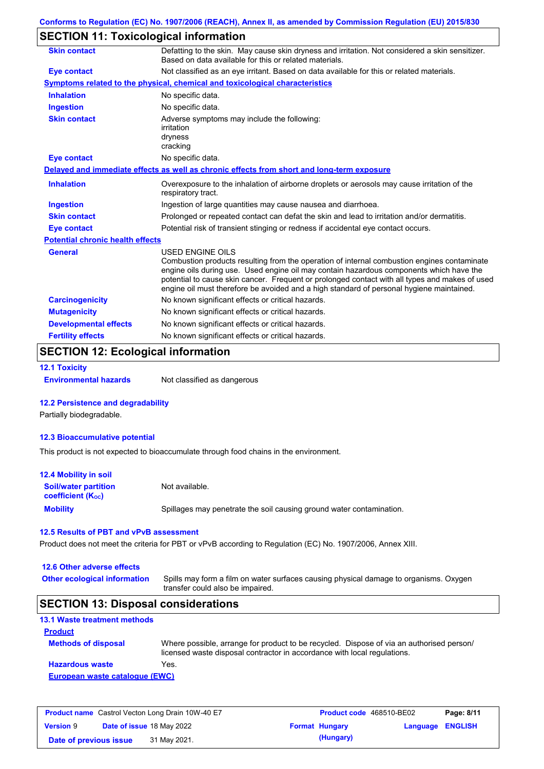## **SECTION 11: Toxicological information**

| <b>Skin contact</b>                     | Defatting to the skin. May cause skin dryness and irritation. Not considered a skin sensitizer.<br>Based on data available for this or related materials.                                                                                                                                                                                                                                                       |
|-----------------------------------------|-----------------------------------------------------------------------------------------------------------------------------------------------------------------------------------------------------------------------------------------------------------------------------------------------------------------------------------------------------------------------------------------------------------------|
| <b>Eye contact</b>                      | Not classified as an eye irritant. Based on data available for this or related materials.                                                                                                                                                                                                                                                                                                                       |
|                                         | Symptoms related to the physical, chemical and toxicological characteristics                                                                                                                                                                                                                                                                                                                                    |
| <b>Inhalation</b>                       | No specific data.                                                                                                                                                                                                                                                                                                                                                                                               |
| <b>Ingestion</b>                        | No specific data.                                                                                                                                                                                                                                                                                                                                                                                               |
| <b>Skin contact</b>                     | Adverse symptoms may include the following:<br>irritation<br>dryness<br>cracking                                                                                                                                                                                                                                                                                                                                |
| <b>Eye contact</b>                      | No specific data.                                                                                                                                                                                                                                                                                                                                                                                               |
|                                         | Delayed and immediate effects as well as chronic effects from short and long-term exposure                                                                                                                                                                                                                                                                                                                      |
| <b>Inhalation</b>                       | Overexposure to the inhalation of airborne droplets or aerosols may cause irritation of the<br>respiratory tract.                                                                                                                                                                                                                                                                                               |
| <b>Ingestion</b>                        | Ingestion of large quantities may cause nausea and diarrhoea.                                                                                                                                                                                                                                                                                                                                                   |
| <b>Skin contact</b>                     | Prolonged or repeated contact can defat the skin and lead to irritation and/or dermatitis.                                                                                                                                                                                                                                                                                                                      |
| <b>Eye contact</b>                      | Potential risk of transient stinging or redness if accidental eye contact occurs.                                                                                                                                                                                                                                                                                                                               |
| <b>Potential chronic health effects</b> |                                                                                                                                                                                                                                                                                                                                                                                                                 |
| General                                 | <b>USED ENGINE OILS</b><br>Combustion products resulting from the operation of internal combustion engines contaminate<br>engine oils during use. Used engine oil may contain hazardous components which have the<br>potential to cause skin cancer. Frequent or prolonged contact with all types and makes of used<br>engine oil must therefore be avoided and a high standard of personal hygiene maintained. |
| <b>Carcinogenicity</b>                  | No known significant effects or critical hazards.                                                                                                                                                                                                                                                                                                                                                               |
| <b>Mutagenicity</b>                     | No known significant effects or critical hazards.                                                                                                                                                                                                                                                                                                                                                               |
| <b>Developmental effects</b>            | No known significant effects or critical hazards.                                                                                                                                                                                                                                                                                                                                                               |
| <b>Fertility effects</b>                | No known significant effects or critical hazards.                                                                                                                                                                                                                                                                                                                                                               |

## **SECTION 12: Ecological information**

**12.1 Toxicity**

**Environmental hazards** Not classified as dangerous

#### **12.2 Persistence and degradability**

Partially biodegradable.

#### **12.3 Bioaccumulative potential**

This product is not expected to bioaccumulate through food chains in the environment.

| <b>12.4 Mobility in soil</b>                                  |                                                                      |
|---------------------------------------------------------------|----------------------------------------------------------------------|
| <b>Soil/water partition</b><br>coefficient (K <sub>oc</sub> ) | Not available.                                                       |
| <b>Mobility</b>                                               | Spillages may penetrate the soil causing ground water contamination. |

#### **12.5 Results of PBT and vPvB assessment**

Product does not meet the criteria for PBT or vPvB according to Regulation (EC) No. 1907/2006, Annex XIII.

### **12.6 Other adverse effects**

**Other ecological information**

Spills may form a film on water surfaces causing physical damage to organisms. Oxygen transfer could also be impaired.

### **SECTION 13: Disposal considerations**

| <b>13.1 Waste treatment methods</b> |                                                                                                                                                                      |
|-------------------------------------|----------------------------------------------------------------------------------------------------------------------------------------------------------------------|
| <b>Product</b>                      |                                                                                                                                                                      |
| <b>Methods of disposal</b>          | Where possible, arrange for product to be recycled. Dispose of via an authorised person/<br>licensed waste disposal contractor in accordance with local regulations. |
| <b>Hazardous waste</b>              | Yes.                                                                                                                                                                 |
| European waste catalogue (EWC)      |                                                                                                                                                                      |

| <b>Product name</b> Castrol Vecton Long Drain 10W-40 E7 |  |                                  | <b>Product code</b> 468510-BE02 | Page: 8/11            |                  |  |
|---------------------------------------------------------|--|----------------------------------|---------------------------------|-----------------------|------------------|--|
| <b>Version 9</b>                                        |  | <b>Date of issue 18 May 2022</b> |                                 | <b>Format Hungary</b> | Language ENGLISH |  |
| Date of previous issue                                  |  | 31 May 2021.                     |                                 | (Hungary)             |                  |  |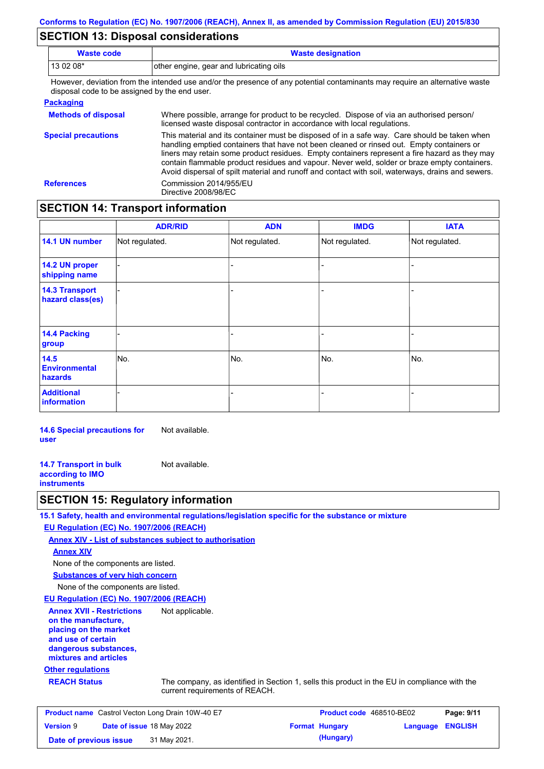### **SECTION 13: Disposal considerations**

| Waste code | <b>Waste designation</b>                                                                                               |  |
|------------|------------------------------------------------------------------------------------------------------------------------|--|
| $130208*$  | other engine, gear and lubricating oils                                                                                |  |
|            | . Harrista dariatan fund ika intandad masamulia ika mengang af anyonatantial namaninguntu memperimpun altematima menta |  |

However, deviation from the intended use and/or the presence of any potential contaminants may require an alternative waste disposal code to be assigned by the end user.

#### **Packaging**

| <b>Methods of disposal</b> | Where possible, arrange for product to be recycled. Dispose of via an authorised person/<br>licensed waste disposal contractor in accordance with local regulations.                                                                                                                                                                                                                                                                                                                            |
|----------------------------|-------------------------------------------------------------------------------------------------------------------------------------------------------------------------------------------------------------------------------------------------------------------------------------------------------------------------------------------------------------------------------------------------------------------------------------------------------------------------------------------------|
| <b>Special precautions</b> | This material and its container must be disposed of in a safe way. Care should be taken when<br>handling emptied containers that have not been cleaned or rinsed out. Empty containers or<br>liners may retain some product residues. Empty containers represent a fire hazard as they may<br>contain flammable product residues and vapour. Never weld, solder or braze empty containers.<br>Avoid dispersal of spilt material and runoff and contact with soil, waterways, drains and sewers. |
| <b>References</b>          | Commission 2014/955/EU<br>Directive 2008/98/EC                                                                                                                                                                                                                                                                                                                                                                                                                                                  |

### **SECTION 14: Transport information**

|                                           | <b>ADR/RID</b> | <b>ADN</b>     | <b>IMDG</b>    | <b>IATA</b>    |
|-------------------------------------------|----------------|----------------|----------------|----------------|
| 14.1 UN number                            | Not regulated. | Not regulated. | Not regulated. | Not regulated. |
| 14.2 UN proper<br>shipping name           |                |                |                |                |
| <b>14.3 Transport</b><br>hazard class(es) |                |                | ۰              |                |
| 14.4 Packing<br>group                     |                |                | $\blacksquare$ |                |
| 14.5<br><b>Environmental</b><br>hazards   | No.            | No.            | No.            | No.            |
| <b>Additional</b><br>information          |                |                | -              |                |

**14.6 Special precautions for user** Not available.

**14.7 Transport in bulk according to IMO instruments** Not available.

### **SECTION 15: Regulatory information**

**15.1 Safety, health and environmental regulations/legislation specific for the substance or mixture**

#### **EU Regulation (EC) No. 1907/2006 (REACH)**

**Annex XIV - List of substances subject to authorisation**

#### **Annex XIV**

None of the components are listed.

**Substances of very high concern**

None of the components are listed.

#### **EU Regulation (EC) No. 1907/2006 (REACH)**

**Annex XVII - Restrictions on the manufacture, placing on the market and use of certain dangerous substances, mixtures and articles** Not applicable.

### **Other regulations**

**REACH Status** The company, as identified in Section 1, sells this product in the EU in compliance with the current requirements of REACH.

| <b>Product name</b> Castrol Vecton Long Drain 10W-40 E7 |  |                                  | <b>Product code</b> 468510-BE02 | Page: 9/11            |                         |  |
|---------------------------------------------------------|--|----------------------------------|---------------------------------|-----------------------|-------------------------|--|
| <b>Version 9</b>                                        |  | <b>Date of issue 18 May 2022</b> |                                 | <b>Format Hungary</b> | <b>Language ENGLISH</b> |  |
| Date of previous issue                                  |  | 31 May 2021.                     |                                 | (Hungary)             |                         |  |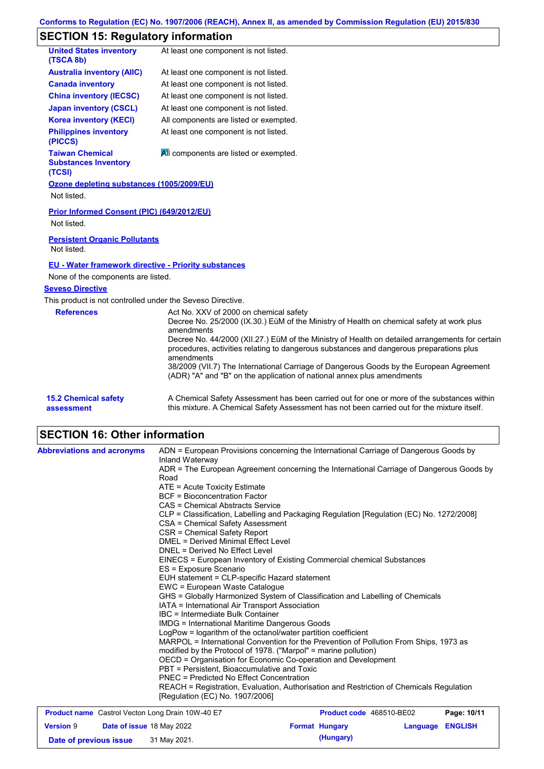# **SECTION 15: Regulatory information**

| <b>United States inventory</b><br>(TSCA 8b)                     | At least one component is not listed.                                                                                                                                                                                                                                                                                                                                                                                                                                                                                              |
|-----------------------------------------------------------------|------------------------------------------------------------------------------------------------------------------------------------------------------------------------------------------------------------------------------------------------------------------------------------------------------------------------------------------------------------------------------------------------------------------------------------------------------------------------------------------------------------------------------------|
| <b>Australia inventory (AIIC)</b>                               | At least one component is not listed.                                                                                                                                                                                                                                                                                                                                                                                                                                                                                              |
| <b>Canada inventory</b>                                         | At least one component is not listed.                                                                                                                                                                                                                                                                                                                                                                                                                                                                                              |
| <b>China inventory (IECSC)</b>                                  | At least one component is not listed.                                                                                                                                                                                                                                                                                                                                                                                                                                                                                              |
| <b>Japan inventory (CSCL)</b>                                   | At least one component is not listed.                                                                                                                                                                                                                                                                                                                                                                                                                                                                                              |
| <b>Korea inventory (KECI)</b>                                   | All components are listed or exempted.                                                                                                                                                                                                                                                                                                                                                                                                                                                                                             |
| <b>Philippines inventory</b><br>(PICCS)                         | At least one component is not listed.                                                                                                                                                                                                                                                                                                                                                                                                                                                                                              |
| <b>Taiwan Chemical</b><br><b>Substances Inventory</b><br>(TCSI) | All components are listed or exempted.                                                                                                                                                                                                                                                                                                                                                                                                                                                                                             |
| Ozone depleting substances (1005/2009/EU)                       |                                                                                                                                                                                                                                                                                                                                                                                                                                                                                                                                    |
| Not listed.                                                     |                                                                                                                                                                                                                                                                                                                                                                                                                                                                                                                                    |
| Prior Informed Consent (PIC) (649/2012/EU)<br>Not listed.       |                                                                                                                                                                                                                                                                                                                                                                                                                                                                                                                                    |
| <b>Persistent Organic Pollutants</b><br>Not listed.             |                                                                                                                                                                                                                                                                                                                                                                                                                                                                                                                                    |
| <b>EU - Water framework directive - Priority substances</b>     |                                                                                                                                                                                                                                                                                                                                                                                                                                                                                                                                    |
| None of the components are listed.                              |                                                                                                                                                                                                                                                                                                                                                                                                                                                                                                                                    |
| <b>Seveso Directive</b>                                         |                                                                                                                                                                                                                                                                                                                                                                                                                                                                                                                                    |
| This product is not controlled under the Seveso Directive.      |                                                                                                                                                                                                                                                                                                                                                                                                                                                                                                                                    |
| <b>References</b>                                               | Act No. XXV of 2000 on chemical safety<br>Decree No. 25/2000 (IX.30.) EüM of the Ministry of Health on chemical safety at work plus<br>amendments<br>Decree No. 44/2000 (XII.27.) EüM of the Ministry of Health on detailed arrangements for certain<br>procedures, activities relating to dangerous substances and dangerous preparations plus<br>amendments<br>38/2009 (VII.7) The International Carriage of Dangerous Goods by the European Agreement<br>(ADR) "A" and "B" on the application of national annex plus amendments |
| <b>15.2 Chemical safety</b><br>assessment                       | A Chemical Safety Assessment has been carried out for one or more of the substances within<br>this mixture. A Chemical Safety Assessment has not been carried out for the mixture itself.                                                                                                                                                                                                                                                                                                                                          |

## **SECTION 16: Other information**

| <b>Abbreviations and acronyms</b>                        | Inland Waterway                                                 | ADN = European Provisions concerning the International Carriage of Dangerous Goods by    |                    |
|----------------------------------------------------------|-----------------------------------------------------------------|------------------------------------------------------------------------------------------|--------------------|
|                                                          | Road                                                            | ADR = The European Agreement concerning the International Carriage of Dangerous Goods by |                    |
|                                                          | ATE = Acute Toxicity Estimate                                   |                                                                                          |                    |
|                                                          | BCF = Bioconcentration Factor                                   |                                                                                          |                    |
|                                                          | CAS = Chemical Abstracts Service                                |                                                                                          |                    |
|                                                          |                                                                 | CLP = Classification, Labelling and Packaging Regulation [Regulation (EC) No. 1272/2008] |                    |
|                                                          | CSA = Chemical Safety Assessment                                |                                                                                          |                    |
|                                                          | CSR = Chemical Safety Report                                    |                                                                                          |                    |
|                                                          | <b>DMEL = Derived Minimal Effect Level</b>                      |                                                                                          |                    |
|                                                          | DNEL = Derived No Effect Level                                  |                                                                                          |                    |
|                                                          |                                                                 | EINECS = European Inventory of Existing Commercial chemical Substances                   |                    |
|                                                          | ES = Exposure Scenario                                          |                                                                                          |                    |
|                                                          | EUH statement = CLP-specific Hazard statement                   |                                                                                          |                    |
|                                                          | EWC = European Waste Catalogue                                  |                                                                                          |                    |
|                                                          |                                                                 | GHS = Globally Harmonized System of Classification and Labelling of Chemicals            |                    |
|                                                          | IATA = International Air Transport Association                  |                                                                                          |                    |
|                                                          | IBC = Intermediate Bulk Container                               |                                                                                          |                    |
|                                                          | IMDG = International Maritime Dangerous Goods                   |                                                                                          |                    |
|                                                          | LogPow = logarithm of the octanol/water partition coefficient   |                                                                                          |                    |
|                                                          |                                                                 | MARPOL = International Convention for the Prevention of Pollution From Ships, 1973 as    |                    |
|                                                          | modified by the Protocol of 1978. ("Marpol" = marine pollution) |                                                                                          |                    |
|                                                          | OECD = Organisation for Economic Co-operation and Development   |                                                                                          |                    |
|                                                          | PBT = Persistent, Bioaccumulative and Toxic                     |                                                                                          |                    |
|                                                          | PNEC = Predicted No Effect Concentration                        |                                                                                          |                    |
|                                                          |                                                                 | REACH = Registration, Evaluation, Authorisation and Restriction of Chemicals Regulation  |                    |
|                                                          | [Regulation (EC) No. 1907/2006]                                 |                                                                                          |                    |
| <b>Broduct name</b> Castrol Voctor Long Drain 1011/40 EZ |                                                                 | <b>Draduct cade, 169510 RE02</b>                                                         | <b>Dogo: 10/11</b> |

| <b>Product name</b> Castrol Vecton Long Drain 10W-40 E7 |  |                                  | <b>Product code</b> 468510-BE02 | Page: 10/11           |                         |  |
|---------------------------------------------------------|--|----------------------------------|---------------------------------|-----------------------|-------------------------|--|
| <b>Version 9</b>                                        |  | <b>Date of issue 18 May 2022</b> |                                 | <b>Format Hungary</b> | <b>Language ENGLISH</b> |  |
| Date of previous issue                                  |  | 31 May 2021.                     |                                 | (Hungary)             |                         |  |